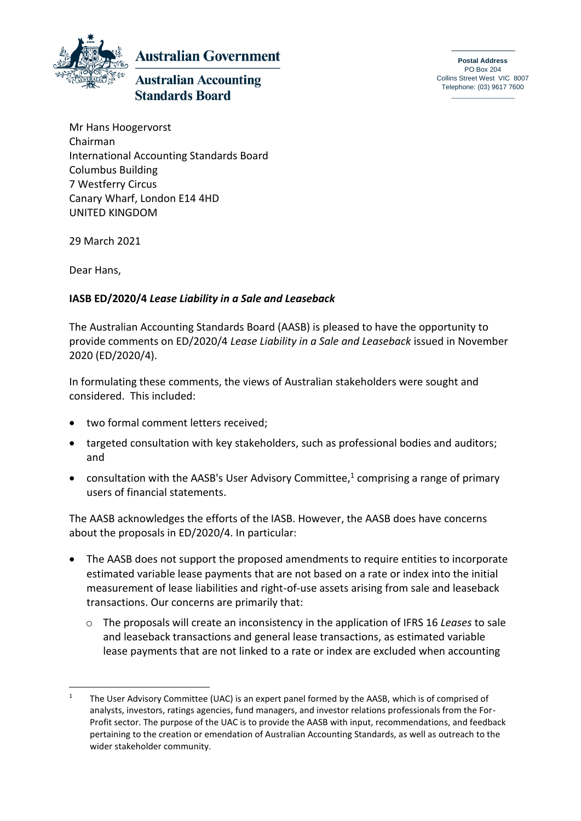

**Australian Government** 

## **Australian Accounting Standards Board**

**Postal Address** PO Box 204 Collins Street West VIC 8007 Telephone: (03) 9617 7600

Mr Hans Hoogervorst Chairman International Accounting Standards Board Columbus Building 7 Westferry Circus Canary Wharf, London E14 4HD UNITED KINGDOM

29 March 2021

Dear Hans,

## **IASB ED/2020/4** *Lease Liability in a Sale and Leaseback*

The Australian Accounting Standards Board (AASB) is pleased to have the opportunity to provide comments on ED/2020/4 *Lease Liability in a Sale and Leaseback* issued in November 2020 (ED/2020/4).

In formulating these comments, the views of Australian stakeholders were sought and considered. This included:

- two formal comment letters received;
- targeted consultation with key stakeholders, such as professional bodies and auditors; and
- consultation with the AASB's User Advisory Committee,<sup>1</sup> comprising a range of primary users of financial statements.

The AASB acknowledges the efforts of the IASB. However, the AASB does have concerns about the proposals in ED/2020/4. In particular:

- The AASB does not support the proposed amendments to require entities to incorporate estimated variable lease payments that are not based on a rate or index into the initial measurement of lease liabilities and right-of-use assets arising from sale and leaseback transactions. Our concerns are primarily that:
	- o The proposals will create an inconsistency in the application of IFRS 16 *Leases* to sale and leaseback transactions and general lease transactions, as estimated variable lease payments that are not linked to a rate or index are excluded when accounting

<sup>&</sup>lt;sup>1</sup> The User Advisory Committee (UAC) is an expert panel formed by the AASB, which is of comprised of analysts, investors, ratings agencies, fund managers, and investor relations professionals from the For-Profit sector. The purpose of the UAC is to provide the AASB with input, recommendations, and feedback pertaining to the creation or emendation of Australian Accounting Standards, as well as outreach to the wider stakeholder community.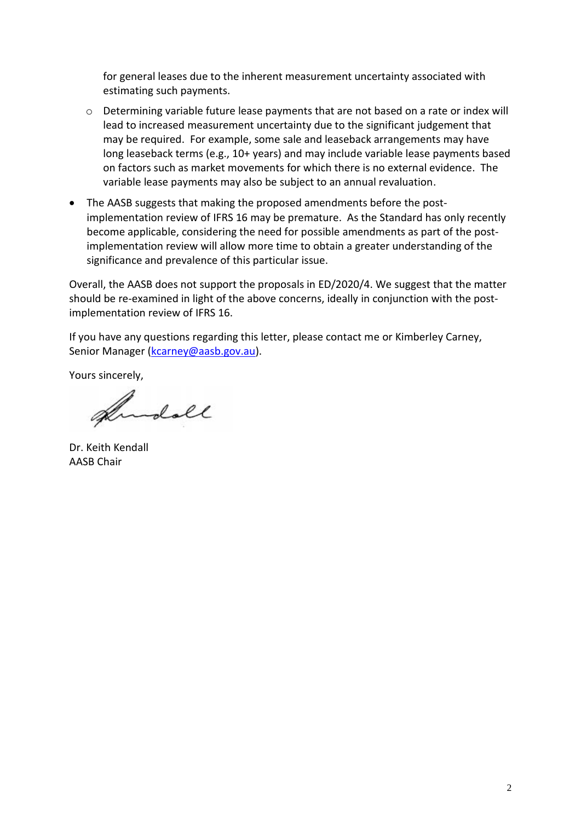for general leases due to the inherent measurement uncertainty associated with estimating such payments.

- o Determining variable future lease payments that are not based on a rate or index will lead to increased measurement uncertainty due to the significant judgement that may be required. For example, some sale and leaseback arrangements may have long leaseback terms (e.g., 10+ years) and may include variable lease payments based on factors such as market movements for which there is no external evidence. The variable lease payments may also be subject to an annual revaluation.
- The AASB suggests that making the proposed amendments before the postimplementation review of IFRS 16 may be premature. As the Standard has only recently become applicable, considering the need for possible amendments as part of the postimplementation review will allow more time to obtain a greater understanding of the significance and prevalence of this particular issue.

Overall, the AASB does not support the proposals in ED/2020/4. We suggest that the matter should be re-examined in light of the above concerns, ideally in conjunction with the postimplementation review of IFRS 16.

If you have any questions regarding this letter, please contact me or Kimberley Carney, Senior Manager [\(kcarney@aasb.gov.au\)](mailto:kcarney@aasb.gov.au).

Yours sincerely,

Andoll

Dr. Keith Kendall AASB Chair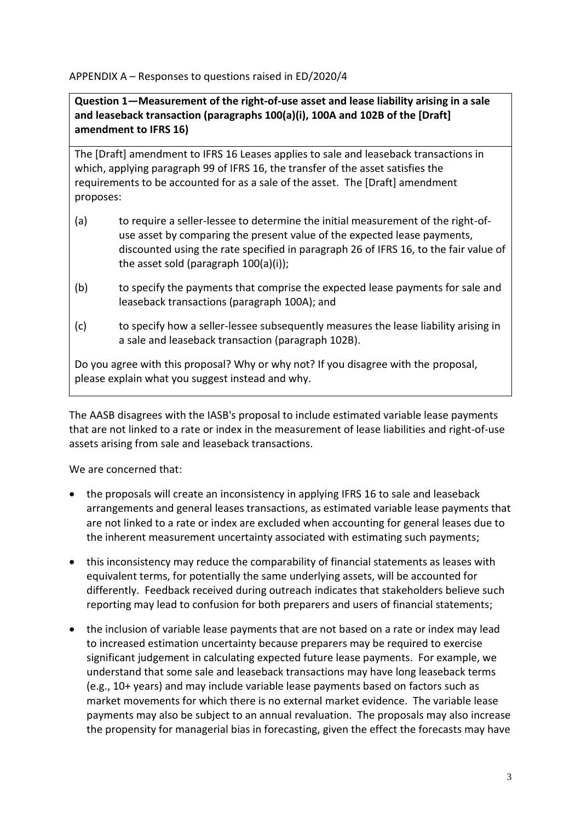APPENDIX A – Responses to questions raised in ED/2020/4

**Question 1—Measurement of the right-of-use asset and lease liability arising in a sale and leaseback transaction (paragraphs 100(a)(i), 100A and 102B of the [Draft] amendment to IFRS 16)**

The [Draft] amendment to IFRS 16 Leases applies to sale and leaseback transactions in which, applying paragraph 99 of IFRS 16, the transfer of the asset satisfies the requirements to be accounted for as a sale of the asset. The [Draft] amendment proposes:

- (a) to require a seller-lessee to determine the initial measurement of the right-ofuse asset by comparing the present value of the expected lease payments, discounted using the rate specified in paragraph 26 of IFRS 16, to the fair value of the asset sold (paragraph 100(a)(i));
- (b) to specify the payments that comprise the expected lease payments for sale and leaseback transactions (paragraph 100A); and
- (c) to specify how a seller-lessee subsequently measures the lease liability arising in a sale and leaseback transaction (paragraph 102B).

Do you agree with this proposal? Why or why not? If you disagree with the proposal, please explain what you suggest instead and why.

The AASB disagrees with the IASB's proposal to include estimated variable lease payments that are not linked to a rate or index in the measurement of lease liabilities and right-of-use assets arising from sale and leaseback transactions.

We are concerned that:

- the proposals will create an inconsistency in applying IFRS 16 to sale and leaseback arrangements and general leases transactions, as estimated variable lease payments that are not linked to a rate or index are excluded when accounting for general leases due to the inherent measurement uncertainty associated with estimating such payments;
- this inconsistency may reduce the comparability of financial statements as leases with equivalent terms, for potentially the same underlying assets, will be accounted for differently. Feedback received during outreach indicates that stakeholders believe such reporting may lead to confusion for both preparers and users of financial statements;
- the inclusion of variable lease payments that are not based on a rate or index may lead to increased estimation uncertainty because preparers may be required to exercise significant judgement in calculating expected future lease payments. For example, we understand that some sale and leaseback transactions may have long leaseback terms (e.g., 10+ years) and may include variable lease payments based on factors such as market movements for which there is no external market evidence. The variable lease payments may also be subject to an annual revaluation. The proposals may also increase the propensity for managerial bias in forecasting, given the effect the forecasts may have